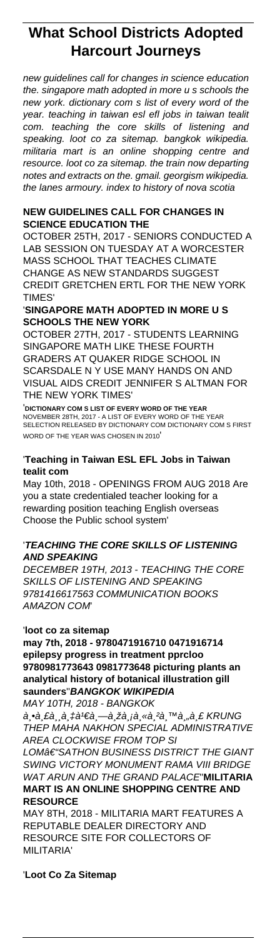# **What School Districts Adopted Harcourt Journeys**

new guidelines call for changes in science education the. singapore math adopted in more u s schools the new york. dictionary com s list of every word of the year. teaching in taiwan esl efl jobs in taiwan tealit com. teaching the core skills of listening and speaking. loot co za sitemap. bangkok wikipedia. militaria mart is an online shopping centre and resource. loot co za sitemap. the train now departing notes and extracts on the. gmail. georgism wikipedia. the lanes armoury. index to history of nova scotia

## **NEW GUIDELINES CALL FOR CHANGES IN SCIENCE EDUCATION THE**

OCTOBER 25TH, 2017 - SENIORS CONDUCTED A LAB SESSION ON TUESDAY AT A WORCESTER MASS SCHOOL THAT TEACHES CLIMATE CHANGE AS NEW STANDARDS SUGGEST CREDIT GRETCHEN ERTL FOR THE NEW YORK TIMES'

#### '**SINGAPORE MATH ADOPTED IN MORE U S SCHOOLS THE NEW YORK**

OCTOBER 27TH, 2017 - STUDENTS LEARNING SINGAPORE MATH LIKE THESE FOURTH GRADERS AT QUAKER RIDGE SCHOOL IN SCARSDALE N Y USE MANY HANDS ON AND VISUAL AIDS CREDIT JENNIFER S ALTMAN FOR THE NEW YORK TIMES'

'**DICTIONARY COM S LIST OF EVERY WORD OF THE YEAR** NOVEMBER 28TH, 2017 - A LIST OF EVERY WORD OF THE YEAR SELECTION RELEASED BY DICTIONARY COM DICTIONARY COM S FIRST WORD OF THE YEAR WAS CHOSEN IN 2010'

#### '**Teaching in Taiwan ESL EFL Jobs in Taiwan tealit com**

May 10th, 2018 - OPENINGS FROM AUG 2018 Are you a state credentialed teacher looking for a rewarding position teaching English overseas Choose the Public school system'

### '**TEACHING THE CORE SKILLS OF LISTENING AND SPEAKING**

DECEMBER 19TH, 2013 - TEACHING THE CORE SKILLS OF LISTENING AND SPEAKING 9781416617563 COMMUNICATION BOOKS AMAZON COM'

# '**loot co za sitemap**

**may 7th, 2018 - 9780471916710 0471916714 epilepsy progress in treatment pprcloo 9780981773643 0981773648 picturing plants an analytical history of botanical illustration gill saunders**''**BANGKOK WIKIPEDIA**

MAY 10TH, 2018 - BANGKOK  $\hat{a}$ ့  $\hat{e}$ ,  $\hat{e}$ ,  $\hat{d}$ ,  $\hat{f}$  a  $\hat{f}$   $\hat{e}$ ,  $-\hat{e}$ ,  $\hat{z}$   $\hat{a}$ ,  $\hat{e}$ ,  $\hat{e}$ ,  $\hat{e}$ ,  $\hat{e}$ ,  $\hat{f}$ ,  $\hat{e}$ ,  $\hat{f}$ ,  $\hat{f}$ ,  $\hat{f}$ ,  $\hat{f}$ ,  $\hat{f}$ ,  $\hat{f}$ ,  $\hat{f}$ ,  $\hat{f}$ ,  $\hat{f}$ THEP MAHA NAKHON SPECIAL ADMINISTRATIVE

## AREA CLOCKWISE FROM TOP SI LOM<sub>∂</sub>∈ "SATHON BUSINESS DISTRICT THE GIANT SWING VICTORY MONUMENT RAMA VIII BRIDGE WAT ARUN AND THE GRAND PALACE''**MILITARIA MART IS AN ONLINE SHOPPING CENTRE AND RESOURCE**

MAY 8TH, 2018 - MILITARIA MART FEATURES A REPUTABLE DEALER DIRECTORY AND RESOURCE SITE FOR COLLECTORS OF MILITARIA'

'**Loot Co Za Sitemap**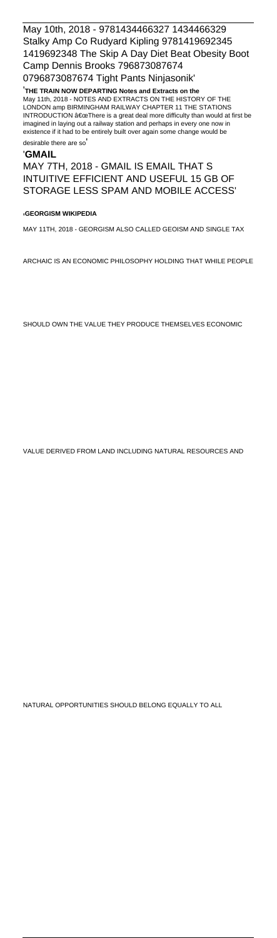May 10th, 2018 - 9781434466327 1434466329 Stalky Amp Co Rudyard Kipling 9781419692345 1419692348 The Skip A Day Diet Beat Obesity Boot Camp Dennis Brooks 796873087674 0796873087674 Tight Pants Ninjasonik'

'**THE TRAIN NOW DEPARTING Notes and Extracts on the** May 11th, 2018 - NOTES AND EXTRACTS ON THE HISTORY OF THE LONDON amp BIRMINGHAM RAILWAY CHAPTER 11 THE STATIONS INTRODUCTION  $\hat{a} \in \alpha$ There is a great deal more difficulty than would at first be imagined in laying out a railway station and perhaps in every one now in existence if it had to be entirely built over again some change would be

desirable there are so'

#### '**GMAIL**

MAY 7TH, 2018 - GMAIL IS EMAIL THAT S INTUITIVE EFFICIENT AND USEFUL 15 GB OF STORAGE LESS SPAM AND MOBILE ACCESS'

#### '**GEORGISM WIKIPEDIA**

MAY 11TH, 2018 - GEORGISM ALSO CALLED GEOISM AND SINGLE TAX

ARCHAIC IS AN ECONOMIC PHILOSOPHY HOLDING THAT WHILE PEOPLE

SHOULD OWN THE VALUE THEY PRODUCE THEMSELVES ECONOMIC

VALUE DERIVED FROM LAND INCLUDING NATURAL RESOURCES AND